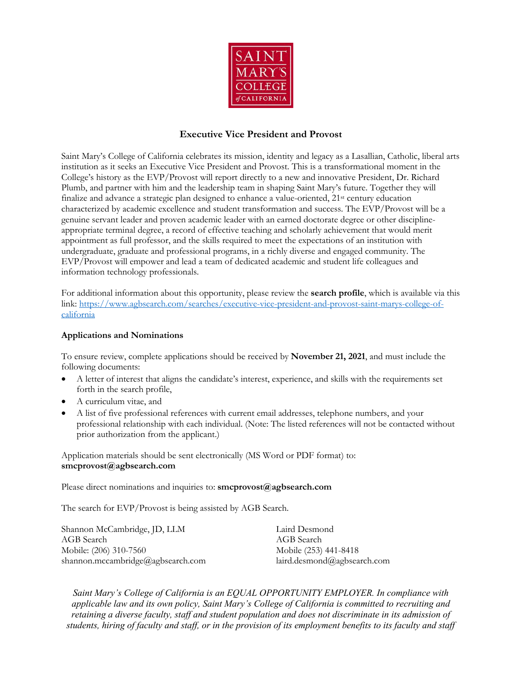

## **Executive Vice President and Provost**

Saint Mary's College of California celebrates its mission, identity and legacy as a Lasallian, Catholic, liberal arts institution as it seeks an Executive Vice President and Provost. This is a transformational moment in the College's history as the EVP/Provost will report directly to a new and innovative President, Dr. Richard Plumb, and partner with him and the leadership team in shaping Saint Mary's future. Together they will finalize and advance a strategic plan designed to enhance a value-oriented,  $21<sup>st</sup>$  century education characterized by academic excellence and student transformation and success. The EVP/Provost will be a genuine servant leader and proven academic leader with an earned doctorate degree or other disciplineappropriate terminal degree, a record of effective teaching and scholarly achievement that would merit appointment as full professor, and the skills required to meet the expectations of an institution with undergraduate, graduate and professional programs, in a richly diverse and engaged community. The EVP/Provost will empower and lead a team of dedicated academic and student life colleagues and information technology professionals.

For additional information about this opportunity, please review the **search profile**, which is available via this link: https://www.agbsearch.com/searches/executive-vice-president-and-provost-saint-marys-college-ofcalifornia

## **Applications and Nominations**

To ensure review, complete applications should be received by **November 21, 2021**, and must include the following documents:

- A letter of interest that aligns the candidate's interest, experience, and skills with the requirements set forth in the search profile,
- A curriculum vitae, and
- A list of five professional references with current email addresses, telephone numbers, and your professional relationship with each individual. (Note: The listed references will not be contacted without prior authorization from the applicant.)

Application materials should be sent electronically (MS Word or PDF format) to: **smcprovost@agbsearch.com**

Please direct nominations and inquiries to: **smcprovost@agbsearch.com** 

The search for EVP/Provost is being assisted by AGB Search.

| Shannon McCambridge, JD, LLM      | Laird Desmond               |
|-----------------------------------|-----------------------------|
| AGB Search                        | AGB Search                  |
| Mobile: (206) 310-7560            | Mobile (253) 441-8418       |
| shannon.mccambridge@agbsearch.com | laird.desmond@agbsearch.com |

*Saint Mary's College of California is an EQUAL OPPORTUNITY EMPLOYER. In compliance with applicable law and its own policy, Saint Mary's College of California is committed to recruiting and retaining a diverse faculty, staff and student population and does not discriminate in its admission of students, hiring of faculty and staff, or in the provision of its employment benefits to its faculty and staff*